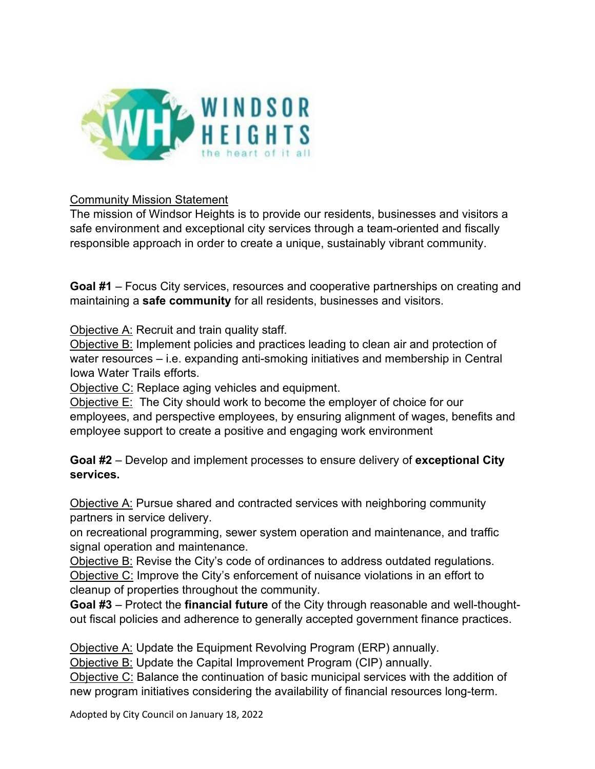

## Community Mission Statement

The mission of Windsor Heights is to provide our residents, businesses and visitors a safe environment and exceptional city services through a team-oriented and fiscally responsible approach in order to create a unique, sustainably vibrant community.

**Goal #1** – Focus City services, resources and cooperative partnerships on creating and maintaining a **safe community** for all residents, businesses and visitors.

Objective A: Recruit and train quality staff.

Objective B: Implement policies and practices leading to clean air and protection of water resources – i.e. expanding anti-smoking initiatives and membership in Central Iowa Water Trails efforts.

Objective C: Replace aging vehicles and equipment.

Objective E: The City should work to become the employer of choice for our employees, and perspective employees, by ensuring alignment of wages, benefits and employee support to create a positive and engaging work environment

**Goal #2** – Develop and implement processes to ensure delivery of **exceptional City services.**

Objective A: Pursue shared and contracted services with neighboring community partners in service delivery.

on recreational programming, sewer system operation and maintenance, and traffic signal operation and maintenance.

Objective B: Revise the City's code of ordinances to address outdated regulations. Objective C: Improve the City's enforcement of nuisance violations in an effort to cleanup of properties throughout the community.

**Goal #3** – Protect the **financial future** of the City through reasonable and well-thoughtout fiscal policies and adherence to generally accepted government finance practices.

Objective A: Update the Equipment Revolving Program (ERP) annually.

Objective B: Update the Capital Improvement Program (CIP) annually.

Objective C: Balance the continuation of basic municipal services with the addition of new program initiatives considering the availability of financial resources long-term.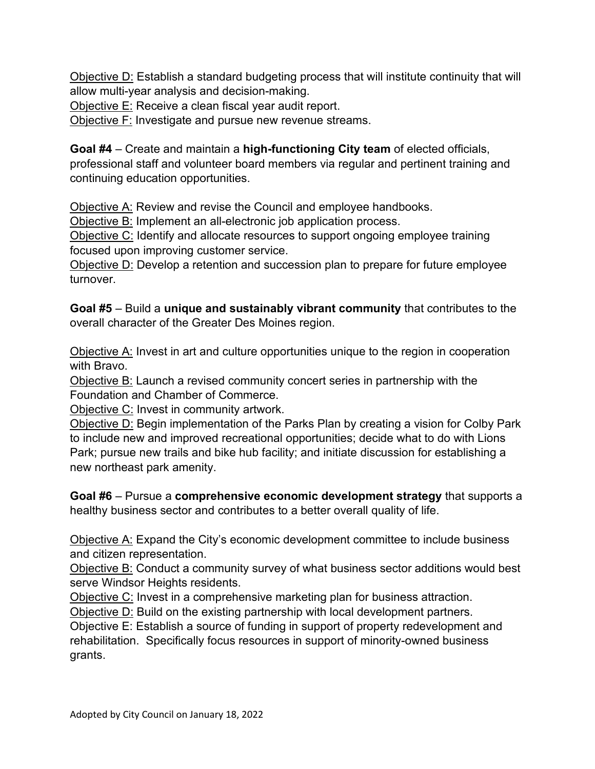Objective D: Establish a standard budgeting process that will institute continuity that will allow multi-year analysis and decision-making.

Objective E: Receive a clean fiscal year audit report.

Objective F: Investigate and pursue new revenue streams.

**Goal #4** – Create and maintain a **high-functioning City team** of elected officials, professional staff and volunteer board members via regular and pertinent training and continuing education opportunities.

Objective A: Review and revise the Council and employee handbooks.

Objective B: Implement an all-electronic job application process.

Objective C: Identify and allocate resources to support ongoing employee training focused upon improving customer service.

Objective D: Develop a retention and succession plan to prepare for future employee turnover.

**Goal #5** – Build a **unique and sustainably vibrant community** that contributes to the overall character of the Greater Des Moines region.

Objective A: Invest in art and culture opportunities unique to the region in cooperation with Bravo.

Objective B: Launch a revised community concert series in partnership with the Foundation and Chamber of Commerce.

Objective C: Invest in community artwork.

Objective D: Begin implementation of the Parks Plan by creating a vision for Colby Park to include new and improved recreational opportunities; decide what to do with Lions Park; pursue new trails and bike hub facility; and initiate discussion for establishing a new northeast park amenity.

**Goal #6** – Pursue a **comprehensive economic development strategy** that supports a healthy business sector and contributes to a better overall quality of life.

Objective A: Expand the City's economic development committee to include business and citizen representation.

Objective B: Conduct a community survey of what business sector additions would best serve Windsor Heights residents.

Objective C: Invest in a comprehensive marketing plan for business attraction.

Objective D: Build on the existing partnership with local development partners.

Objective E: Establish a source of funding in support of property redevelopment and rehabilitation. Specifically focus resources in support of minority-owned business grants.